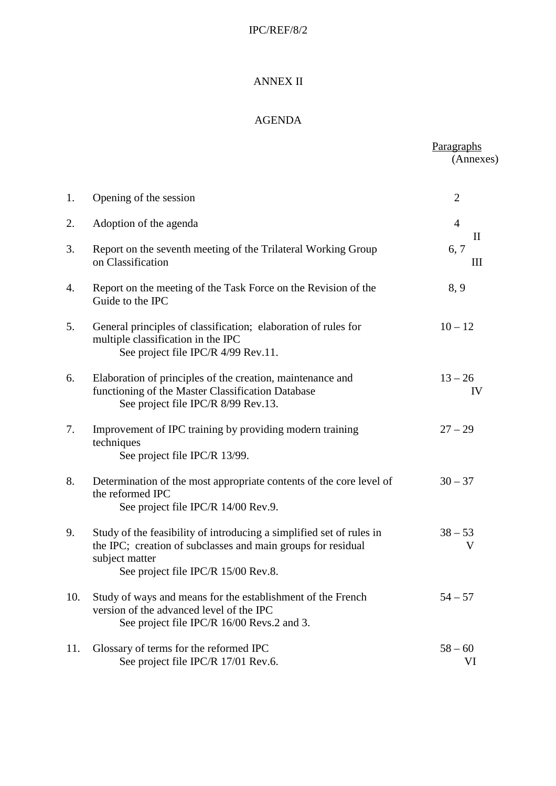## IPC/REF/8/2

## ANNEX II

## AGENDA

|     |                                                                                                                                                                                               | Paragraphs<br>(Annexes)                      |
|-----|-----------------------------------------------------------------------------------------------------------------------------------------------------------------------------------------------|----------------------------------------------|
| 1.  | Opening of the session                                                                                                                                                                        | $\overline{2}$                               |
| 2.  | Adoption of the agenda                                                                                                                                                                        | $\overline{4}$                               |
| 3.  | Report on the seventh meeting of the Trilateral Working Group<br>on Classification                                                                                                            | $\mathop{\mathrm{II}}\nolimits$<br>6, 7<br>Ш |
| 4.  | Report on the meeting of the Task Force on the Revision of the<br>Guide to the IPC                                                                                                            | 8, 9                                         |
| 5.  | General principles of classification; elaboration of rules for<br>multiple classification in the IPC<br>See project file IPC/R 4/99 Rev.11.                                                   | $10 - 12$                                    |
| 6.  | Elaboration of principles of the creation, maintenance and<br>functioning of the Master Classification Database<br>See project file IPC/R 8/99 Rev.13.                                        | $13 - 26$<br>IV                              |
| 7.  | Improvement of IPC training by providing modern training<br>techniques<br>See project file IPC/R 13/99.                                                                                       | $27 - 29$                                    |
| 8.  | Determination of the most appropriate contents of the core level of<br>the reformed IPC<br>See project file IPC/R 14/00 Rev.9.                                                                | $30 - 37$                                    |
| 9.  | Study of the feasibility of introducing a simplified set of rules in<br>the IPC; creation of subclasses and main groups for residual<br>subject matter<br>See project file IPC/R 15/00 Rev.8. | $38 - 53$<br>V                               |
| 10. | Study of ways and means for the establishment of the French<br>version of the advanced level of the IPC<br>See project file IPC/R 16/00 Revs.2 and 3.                                         | $54 - 57$                                    |
| 11. | Glossary of terms for the reformed IPC<br>See project file IPC/R 17/01 Rev.6.                                                                                                                 | $58 - 60$<br>VI                              |